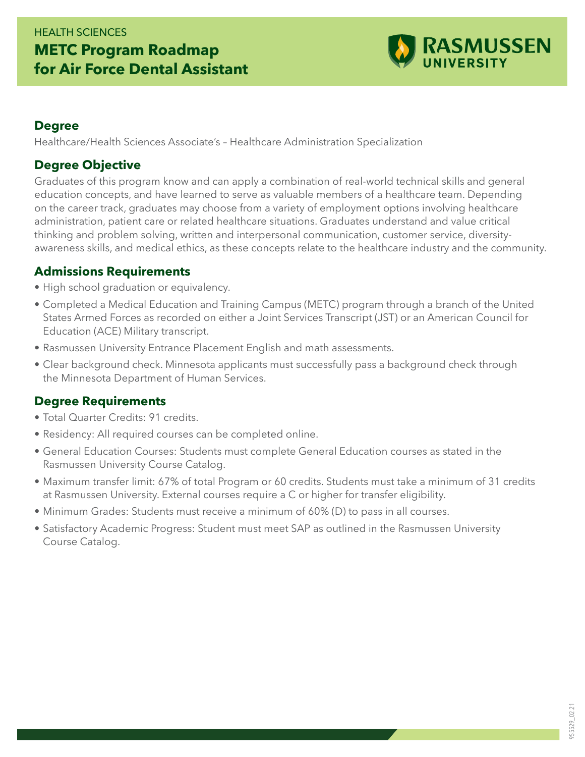# HEALTH SCIENCES **METC Program Roadmap for Air Force Dental Assistant**



#### **Degree**

Healthcare/Health Sciences Associate's – Healthcare Administration Specialization

#### **Degree Objective**

Graduates of this program know and can apply a combination of real-world technical skills and general education concepts, and have learned to serve as valuable members of a healthcare team. Depending on the career track, graduates may choose from a variety of employment options involving healthcare administration, patient care or related healthcare situations. Graduates understand and value critical thinking and problem solving, written and interpersonal communication, customer service, diversityawareness skills, and medical ethics, as these concepts relate to the healthcare industry and the community.

#### **Admissions Requirements**

- High school graduation or equivalency.
- Completed a Medical Education and Training Campus (METC) program through a branch of the United States Armed Forces as recorded on either a Joint Services Transcript (JST) or an American Council for Education (ACE) Military transcript.
- Rasmussen University Entrance Placement English and math assessments.
- Clear background check. Minnesota applicants must successfully pass a background check through the Minnesota Department of Human Services.

### **Degree Requirements**

- Total Quarter Credits: 91 credits.
- Residency: All required courses can be completed online.
- General Education Courses: Students must complete General Education courses as stated in the Rasmussen University Course Catalog.
- Maximum transfer limit: 67% of total Program or 60 credits. Students must take a minimum of 31 credits at Rasmussen University. External courses require a C or higher for transfer eligibility.
- Minimum Grades: Students must receive a minimum of 60% (D) to pass in all courses.
- Satisfactory Academic Progress: Student must meet SAP as outlined in the Rasmussen University Course Catalog.